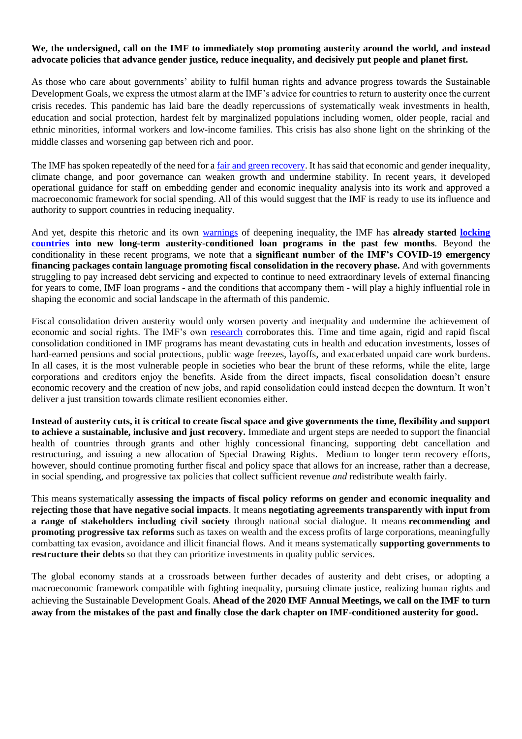## **We, the undersigned, call on the IMF to immediately stop promoting austerity around the world, and instead advocate policies that advance gender justice, reduce inequality, and decisively put people and planet first.**

As those who care about governments' ability to fulfil human rights and advance progress towards the Sustainable Development Goals, we express the utmost alarm at the IMF's advice for countries to return to austerity once the current crisis recedes. This pandemic has laid bare the deadly repercussions of systematically weak investments in health, education and social protection, hardest felt by marginalized populations including women, older people, racial and ethnic minorities, informal workers and low-income families. This crisis has also shone light on the shrinking of the middle classes and worsening gap between rich and poor.

The IMF has spoken repeatedly of the need for a [fair and green recovery.](https://www.imf.org/external/pubs/ft/fandd/2020/06/turning-crisis-into-opportunity-kristalina-georgieva.htm) It has said that economic and gender inequality, climate change, and poor governance can weaken growth and undermine stability. In recent years, it developed operational guidance for staff on embedding gender and economic inequality analysis into its work and approved a macroeconomic framework for social spending. All of this would suggest that the IMF is ready to use its influence and authority to support countries in reducing inequality.

And yet, despite this rhetoric and its own [warnings](https://blogs.imf.org/2020/05/11/how-pandemics-leave-the-poor-even-farther-behind/) of deepening inequality, the IMF has **already started [locking](https://www.brettonwoodsproject.org/2020/07/the-imf-and-world-bank-led-covid-19-recovery-building-back-better-or-locking-in-broken-policies/)  [countries](https://www.brettonwoodsproject.org/2020/07/the-imf-and-world-bank-led-covid-19-recovery-building-back-better-or-locking-in-broken-policies/) into new long-term austerity-conditioned loan programs in the past few months**. Beyond the conditionality in these recent programs, we note that a **significant number of the IMF's COVID-19 emergency financing packages contain language promoting fiscal consolidation in the recovery phase.** And with governments struggling to pay increased debt servicing and expected to continue to need extraordinary levels of external financing for years to come, IMF loan programs - and the conditions that accompany them - will play a highly influential role in shaping the economic and social landscape in the aftermath of this pandemic.

Fiscal consolidation driven austerity would only worsen poverty and inequality and undermine the achievement of economic and social rights. The IMF's own [research](https://www.imf.org/external/pubs/ft/fandd/2016/06/ostry.htm) corroborates this. Time and time again, rigid and rapid fiscal consolidation conditioned in IMF programs has meant devastating cuts in health and education investments, losses of hard-earned pensions and social protections, public wage freezes, layoffs, and exacerbated unpaid care work burdens. In all cases, it is the most vulnerable people in societies who bear the brunt of these reforms, while the elite, large corporations and creditors enjoy the benefits. Aside from the direct impacts, fiscal consolidation doesn't ensure economic recovery and the creation of new jobs, and rapid consolidation could instead deepen the downturn. It won't deliver a just transition towards climate resilient economies either.

**Instead of austerity cuts, it is critical to create fiscal space and give governments the time, flexibility and support to achieve a sustainable, inclusive and just recovery.** Immediate and urgent steps are needed to support the financial health of countries through grants and other highly concessional financing, supporting debt cancellation and restructuring, and issuing a new allocation of Special Drawing Rights. Medium to longer term recovery efforts, however, should continue promoting further fiscal and policy space that allows for an increase, rather than a decrease, in social spending, and progressive tax policies that collect sufficient revenue *and* redistribute wealth fairly.

This means systematically **assessing the impacts of fiscal policy reforms on gender and economic inequality and rejecting those that have negative social impacts**. It means **negotiating agreements transparently with input from a range of stakeholders including civil society** through national social dialogue. It means **recommending and promoting progressive tax reforms** such as taxes on wealth and the excess profits of large corporations, meaningfully combatting tax evasion, avoidance and illicit financial flows. And it means systematically **supporting governments to restructure their debts** so that they can prioritize investments in quality public services.

The global economy stands at a crossroads between further decades of austerity and debt crises, or adopting a macroeconomic framework compatible with fighting inequality, pursuing climate justice, realizing human rights and achieving the Sustainable Development Goals. **Ahead of the 2020 IMF Annual Meetings, we call on the IMF to turn away from the mistakes of the past and finally close the dark chapter on IMF-conditioned austerity for good.**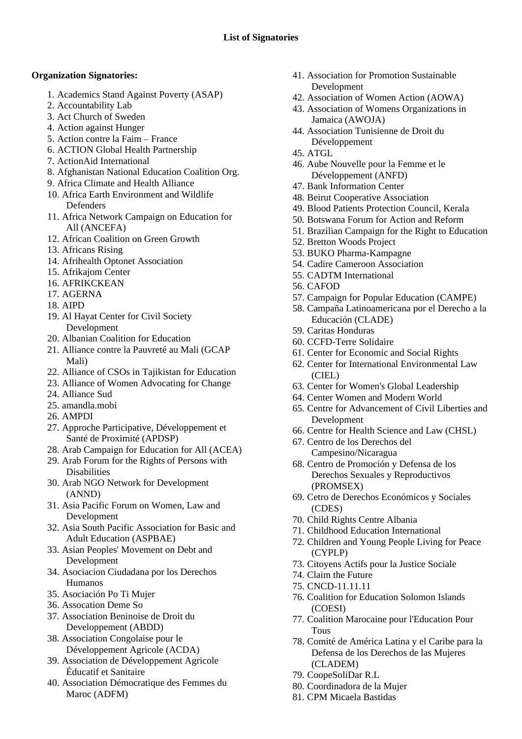## **Organization Signatories:**

- 1. Academics Stand Against Poverty (ASAP)
- 2. Accountability Lab
- 3. Act Church of Sweden
- 4. Action against Hunger
- 5. Action contre la Faim France
- 6. ACTION Global Health Partnership
- 7. ActionAid International
- 8. Afghanistan National Education Coalition Org.
- 9. Africa Climate and Health Alliance
- 10. Africa Earth Environment and Wildlife **Defenders**
- 11. Africa Network Campaign on Education for All (ANCEFA)
- 12. African Coalition on Green Growth
- 13. Africans Rising
- 14. Afrihealth Optonet Association
- 15. Afrikajom Center
- 16. AFRIKCKEAN
- 17. AGERNA
- 18. AIPD
- 19. Al Hayat Center for Civil Society Development
- 20. Albanian Coalition for Education
- 21. Alliance contre la Pauvreté au Mali (GCAP Mali)
- 22. Alliance of CSOs in Tajikistan for Education
- 23. Alliance of Women Advocating for Change
- 24. Alliance Sud
- 25. amandla.mobi
- 26. AMPDI
- 27. Approche Participative, Développement et Santé de Proximité (APDSP)
- 28. Arab Campaign for Education for All (ACEA)
- 29. Arab Forum for the Rights of Persons with Disabilities
- 30. Arab NGO Network for Development (ANND)
- 31. Asia Pacific Forum on Women, Law and Development
- 32. Asia South Pacific Association for Basic and Adult Education (ASPBAE)
- 33. Asian Peoples' Movement on Debt and Development
- 34. Asociacion Ciudadana por los Derechos Humanos
- 35. Asociación Po Ti Mujer
- 36. Assocation Deme So
- 37. Association Beninoise de Droit du Developpement (ABDD)
- 38. Association Congolaise pour le Développement Agricole (ACDA)
- 39. Association de Développement Agricole Éducatif et Sanitaire
- 40. Association Démocratique des Femmes du Maroc (ADFM)
- 41. Association for Promotion Sustainable **Development**
- 42. Association of Women Action (AOWA)
- 43. Association of Womens Organizations in Jamaica (AWOJA)
- 44. Association Tunisienne de Droit du Développement
- 45. ATGL
- 46. Aube Nouvelle pour la Femme et le Développement (ANFD)
- 47. Bank Information Center
- 48. Beirut Cooperative Association
- 49. Blood Patients Protection Council, Kerala
- 50. Botswana Forum for Action and Reform
- 51. Brazilian Campaign for the Right to Education
- 52. Bretton Woods Project
- 53. BUKO Pharma-Kampagne
- 54. Cadire Cameroon Association
- 55. CADTM International
- 56. CAFOD
- 57. Campaign for Popular Education (CAMPE)
- 58. Campaña Latinoamericana por el Derecho a la Educación (CLADE)
- 59. Caritas Honduras
- 60. CCFD-Terre Solidaire
- 61. Center for Economic and Social Rights
- 62. Center for International Environmental Law (CIEL)
- 63. Center for Women's Global Leadership
- 64. Center Women and Modern World
- 65. Centre for Advancement of Civil Liberties and Development
- 66. Centre for Health Science and Law (CHSL)
- 67. Centro de los Derechos del Campesino/Nicaragua
- 68. Centro de Promoción y Defensa de los Derechos Sexuales y Reproductivos (PROMSEX)
- 69. Cetro de Derechos Económicos y Sociales (CDES)
- 70. Child Rights Centre Albania
- 71. Childhood Education International
- 72. Children and Young People Living for Peace (CYPLP)
- 73. Citoyens Actifs pour la Justice Sociale
- 74. Claim the Future
- 75. CNCD-11.11.11
- 76. Coalition for Education Solomon Islands (COESI)
- 77. Coalition Marocaine pour l'Education Pour Tous
- 78. Comité de América Latina y el Caribe para la Defensa de los Derechos de las Mujeres (CLADEM)
- 79. CoopeSoliDar R.L
- 80. Coordinadora de la Mujer
- 81. CPM Micaela Bastidas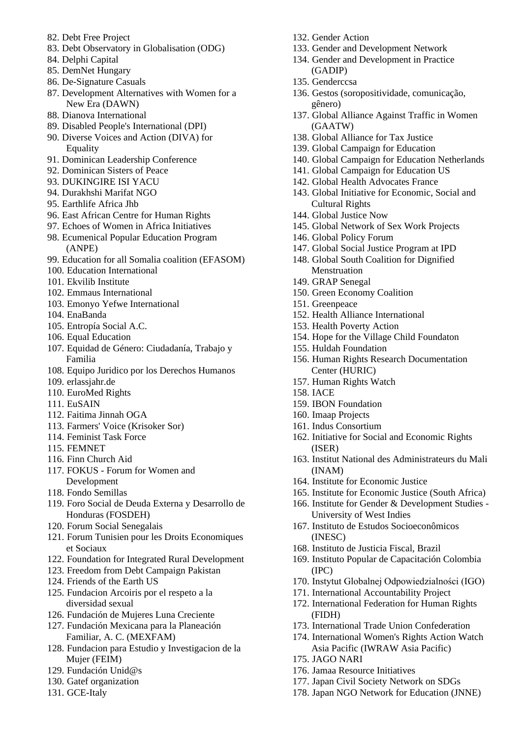- 82. Debt Free Project
- 83. Debt Observatory in Globalisation (ODG)
- 84. Delphi Capital
- 85. DemNet Hungary
- 86. De-Signature Casuals
- 87. Development Alternatives with Women for a New Era (DAWN)
- 88. Dianova International
- 89. Disabled People's International (DPI)
- 90. Diverse Voices and Action (DIVA) for Equality
- 91. Dominican Leadership Conference
- 92. Dominican Sisters of Peace
- 93. DUKINGIRE ISI YACU
- 94. Durakhshi Marifat NGO
- 95. Earthlife Africa Jhb
- 96. East African Centre for Human Rights
- 97. Echoes of Women in Africa Initiatives 98. Ecumenical Popular Education Program
- (ANPE)
- 99. Education for all Somalia coalition (EFASOM)
- 100. Education International
- 101. Ekvilib Institute
- 102. Emmaus International
- 103. Emonyo Yefwe International
- 104. EnaBanda
- 105. Entropía Social A.C.
- 106. Equal Education
- 107. Equidad de Género: Ciudadanía, Trabajo y Familia
- 108. Equipo Juridico por los Derechos Humanos
- 109. erlassjahr.de
- 110. EuroMed Rights
- 111. EuSAIN
- 112. Faitima Jinnah OGA
- 113. Farmers' Voice (Krisoker Sor)
- 114. Feminist Task Force
- 115. FEMNET
- 116. Finn Church Aid
- 117. FOKUS Forum for Women and Development
- 118. Fondo Semillas
- 119. Foro Social de Deuda Externa y Desarrollo de Honduras (FOSDEH)
- 120. Forum Social Senegalais
- 121. Forum Tunisien pour les Droits Economiques et Sociaux
- 122. Foundation for Integrated Rural Development
- 123. Freedom from Debt Campaign Pakistan
- 124. Friends of the Earth US
- 125. Fundacion Arcoiris por el respeto a la diversidad sexual
- 126. Fundación de Mujeres Luna Creciente
- 127. Fundación Mexicana para la Planeación Familiar, A. C. (MEXFAM)
- 128. Fundacion para Estudio y Investigacion de la Mujer (FEIM)
- 129. Fundación Unid@s
- 130. Gatef organization
- 131. GCE-Italy
- 132. Gender Action
- 133. Gender and Development Network
- 134. Gender and Development in Practice (GADIP)
- 135. Genderccsa
- 136. Gestos (soropositividade, comunicação, gênero)
- 137. Global Alliance Against Traffic in Women (GAATW)
- 138. Global Alliance for Tax Justice
- 139. Global Campaign for Education
- 140. Global Campaign for Education Netherlands
- 141. Global Campaign for Education US
- 142. Global Health Advocates France
- 143. Global Initiative for Economic, Social and Cultural Rights
- 144. Global Justice Now
- 145. Global Network of Sex Work Projects
- 146. Global Policy Forum
- 147. Global Social Justice Program at IPD
- 148. Global South Coalition for Dignified Menstruation
- 149. GRAP Senegal
- 150. Green Economy Coalition
- 151. Greenpeace
- 152. Health Alliance International
- 153. Health Poverty Action
- 154. Hope for the Village Child Foundaton
- 155. Huldah Foundation
- 156. Human Rights Research Documentation Center (HURIC)
- 157. Human Rights Watch
- 158. IACE
- 159. IBON Foundation
- 160. Imaap Projects
- 161. Indus Consortium
- 162. Initiative for Social and Economic Rights (ISER)
- 163. Institut National des Administrateurs du Mali (INAM)
- 164. Institute for Economic Justice
- 165. Institute for Economic Justice (South Africa)
- 166. Institute for Gender & Development Studies University of West Indies
- 167. Instituto de Estudos Socioeconômicos (INESC)
- 168. Instituto de Justicia Fiscal, Brazil
- 169. Instituto Popular de Capacitación Colombia (IPC)
- 170. Instytut Globalnej Odpowiedzialności (IGO)
- 171. International Accountability Project
- 172. International Federation for Human Rights (FIDH)
- 173. International Trade Union Confederation
- 174. International Women's Rights Action Watch Asia Pacific (IWRAW Asia Pacific)
- 175. JAGO NARI
- 176. Jamaa Resource Initiatives
- 177. Japan Civil Society Network on SDGs
- 178. Japan NGO Network for Education (JNNE)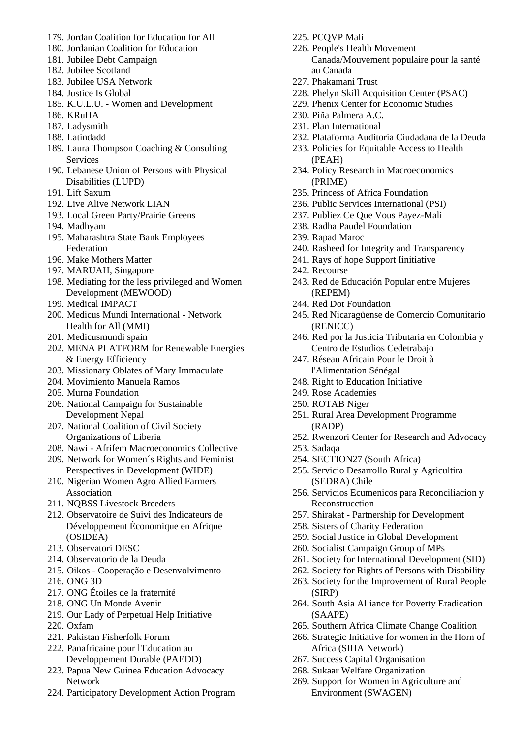- 179. Jordan Coalition for Education for All
- 180. Jordanian Coalition for Education
- 181. Jubilee Debt Campaign
- 182. Jubilee Scotland
- 183. Jubilee USA Network
- 184. Justice Is Global
- 185. K.U.L.U. Women and Development
- 186. KRuHA
- 187. Ladysmith
- 188. Latindadd
- 189. Laura Thompson Coaching & Consulting **Services**
- 190. Lebanese Union of Persons with Physical Disabilities (LUPD)
- 191. Lift Saxum
- 192. Live Alive Network LIAN
- 193. Local Green Party/Prairie Greens
- 194. Madhyam
- 195. Maharashtra State Bank Employees Federation
- 196. Make Mothers Matter
- 197. MARUAH, Singapore
- 198. Mediating for the less privileged and Women Development (MEWOOD)
- 199. Medical IMPACT
- 200. Medicus Mundi International Network Health for All (MMI)
- 201. Medicusmundi spain
- 202. MENA PLATFORM for Renewable Energies & Energy Efficiency
- 203. Missionary Oblates of Mary Immaculate
- 204. Movimiento Manuela Ramos
- 205. Murna Foundation
- 206. National Campaign for Sustainable Development Nepal
- 207. National Coalition of Civil Society Organizations of Liberia
- 208. Nawi Afrifem Macroeconomics Collective
- 209. Network for Women´s Rights and Feminist Perspectives in Development (WIDE)
- 210. Nigerian Women Agro Allied Farmers Association
- 211. NQBSS Livestock Breeders
- 212. Observatoire de Suivi des Indicateurs de Développement Économique en Afrique (OSIDEA)
- 213. Observatori DESC
- 214. Observatorio de la Deuda
- 215. Oikos Cooperação e Desenvolvimento
- 216. ONG 3D
- 217. ONG Étoiles de la fraternité
- 218. ONG Un Monde Avenir
- 219. Our Lady of Perpetual Help Initiative
- 220. Oxfam
- 221. Pakistan Fisherfolk Forum
- 222. Panafricaine pour l'Education au Developpement Durable (PAEDD)
- 223. Papua New Guinea Education Advocacy Network
- 224. Participatory Development Action Program
- 225. PCQVP Mali
- 226. People's Health Movement Canada/Mouvement populaire pour la santé au Canada
- 227. Phakamani Trust
- 228. Phelyn Skill Acquisition Center (PSAC)
- 229. Phenix Center for Economic Studies
- 230. Piña Palmera A.C.
- 231. Plan International
- 232. Plataforma Auditoria Ciudadana de la Deuda
- 233. Policies for Equitable Access to Health (PEAH)
- 234. Policy Research in Macroeconomics (PRIME)
- 235. Princess of Africa Foundation
- 236. Public Services International (PSI)
- 237. Publiez Ce Que Vous Payez-Mali
- 238. Radha Paudel Foundation
- 239. Rapad Maroc
- 240. Rasheed for Integrity and Transparency
- 241. Rays of hope Support Iinitiative
- 242. Recourse
- 243. Red de Educación Popular entre Mujeres (REPEM)
- 244. Red Dot Foundation
- 245. Red Nicaragüense de Comercio Comunitario (RENICC)
- 246. Red por la Justicia Tributaria en Colombia y Centro de Estudios Cedetrabajo
- 247. Réseau Africain Pour le Droit à l'Alimentation Sénégal
- 248. Right to Education Initiative
- 249. Rose Academies
- 250. ROTAB Niger
- 251. Rural Area Development Programme (RADP)
- 252. Rwenzori Center for Research and Advocacy
- 253. Sadaqa
- 254. SECTION27 (South Africa)
- 255. Servicio Desarrollo Rural y Agricultira (SEDRA) Chile
- 256. Servicios Ecumenicos para Reconciliacion y Reconstrucction
- 257. Shirakat Partnership for Development
- 258. Sisters of Charity Federation
- 259. Social Justice in Global Development
- 260. Socialist Campaign Group of MPs
- 261. Society for International Development (SID)
- 262. Society for Rights of Persons with Disability
- 263. Society for the Improvement of Rural People (SIRP)
- 264. South Asia Alliance for Poverty Eradication (SAAPE)
- 265. Southern Africa Climate Change Coalition
- 266. Strategic Initiative for women in the Horn of Africa (SIHA Network)
- 267. Success Capital Organisation
- 268. Sukaar Welfare Organization
- 269. Support for Women in Agriculture and Environment (SWAGEN)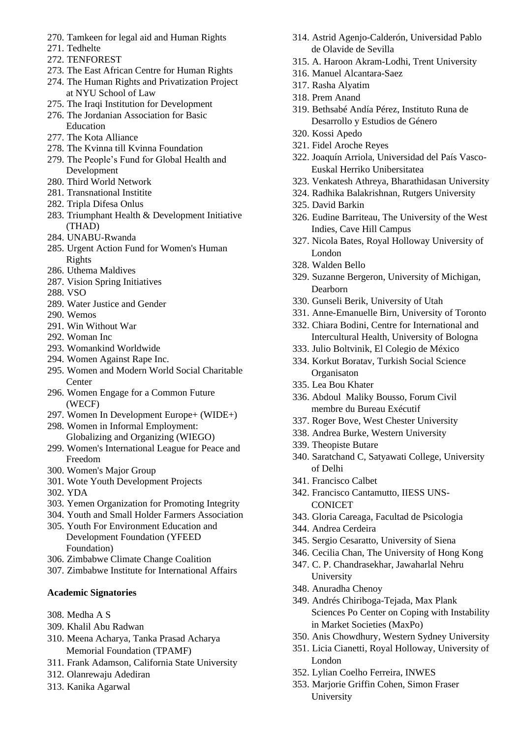- 270. Tamkeen for legal aid and Human Rights
- 271. Tedhelte
- 272. TENFOREST
- 273. The East African Centre for Human Rights
- 274. The Human Rights and Privatization Project at NYU School of Law
- 275. The Iraqi Institution for Development 276. The Jordanian Association for Basic
- Education
- 277. The Kota Alliance
- 278. The Kvinna till Kvinna Foundation
- 279. The People's Fund for Global Health and Development
- 280. Third World Network
- 281. Transnational Institite
- 282. Tripla Difesa Onlus
- 283. Triumphant Health & Development Initiative (THAD)
- 284. UNABU-Rwanda
- 285. Urgent Action Fund for Women's Human Rights
- 286. Uthema Maldives
- 287. Vision Spring Initiatives
- 288. VSO
- 289. Water Justice and Gender
- 290. Wemos
- 291. Win Without War
- 292. Woman Inc
- 293. Womankind Worldwide
- 294. Women Against Rape Inc.
- 295. Women and Modern World Social Charitable **Center**
- 296. Women Engage for a Common Future (WECF)
- 297. Women In Development Europe+ (WIDE+)
- 298. Women in Informal Employment: Globalizing and Organizing (WIEGO)
- 299. Women's International League for Peace and Freedom
- 300. Women's Major Group
- 301. Wote Youth Development Projects
- 302. YDA
- 303. Yemen Organization for Promoting Integrity
- 304. Youth and Small Holder Farmers Association
- 305. Youth For Environment Education and Development Foundation (YFEED Foundation)
- 306. Zimbabwe Climate Change Coalition
- 307. Zimbabwe Institute for International Affairs

## **Academic Signatories**

- 308. Medha A S
- 309. Khalil Abu Radwan
- 310. Meena Acharya, Tanka Prasad Acharya Memorial Foundation (TPAMF)
- 311. Frank Adamson, California State University
- 312. Olanrewaju Adediran
- 313. Kanika Agarwal
- 314. Astrid Agenjo-Calderón, Universidad Pablo de Olavide de Sevilla
- 315. A. Haroon Akram-Lodhi, Trent University
- 316. Manuel Alcantara-Saez
- 317. Rasha Alyatim
- 318. Prem Anand
- 319. Bethsabé Andía Pérez, Instituto Runa de Desarrollo y Estudios de Género
- 320. Kossi Apedo
- 321. Fidel Aroche Reyes
- 322. Joaquín Arriola, Universidad del País Vasco-Euskal Herriko Unibersitatea
- 323. Venkatesh Athreya, Bharathidasan University
- 324. Radhika Balakrishnan, Rutgers University
- 325. David Barkin
- 326. Eudine Barriteau, The University of the West Indies, Cave Hill Campus
- 327. Nicola Bates, Royal Holloway University of London
- 328. Walden Bello
- 329. Suzanne Bergeron, University of Michigan, Dearborn
- 330. Gunseli Berik, University of Utah
- 331. Anne-Emanuelle Birn, University of Toronto
- 332. Chiara Bodini, Centre for International and Intercultural Health, University of Bologna
- 333. Julio Boltvinik, El Colegio de México
- 334. Korkut Boratav, Turkish Social Science **Organisaton**
- 335. Lea Bou Khater
- 336. Abdoul Maliky Bousso, Forum Civil membre du Bureau Exécutif
- 337. Roger Bove, West Chester University
- 338. Andrea Burke, Western University
- 339. Theopiste Butare
- 340. Saratchand C, Satyawati College, University of Delhi
- 341. Francisco Calbet
- 342. Francisco Cantamutto, IIESS UNS-CONICET
- 343. Gloria Careaga, Facultad de Psicologia
- 344. Andrea Cerdeira
- 345. Sergio Cesaratto, University of Siena
- 346. Cecilia Chan, The University of Hong Kong
- 347. C. P. Chandrasekhar, Jawaharlal Nehru University
- 348. Anuradha Chenoy
- 349. Andrés Chiriboga-Tejada, Max Plank Sciences Po Center on Coping with Instability in Market Societies (MaxPo)
- 350. Anis Chowdhury, Western Sydney University
- 351. Licia Cianetti, Royal Holloway, University of London
- 352. Lylian Coelho Ferreira, INWES
- 353. Marjorie Griffin Cohen, Simon Fraser University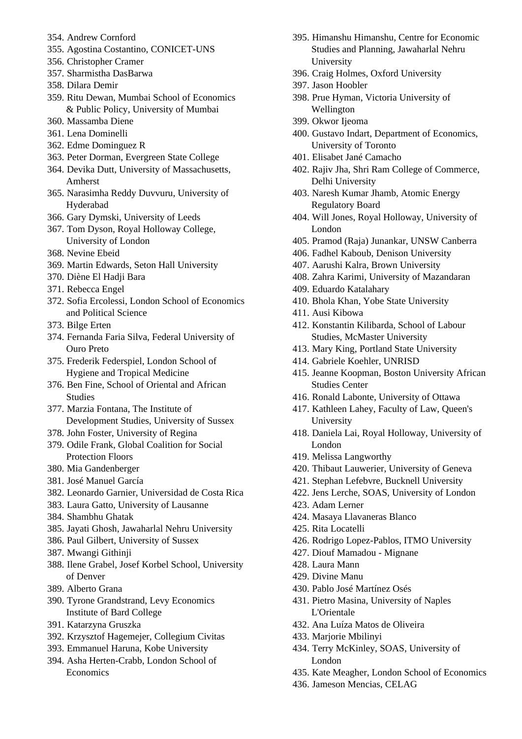- 354. Andrew Cornford
- 355. Agostina Costantino, CONICET-UNS
- 356. Christopher Cramer
- 357. Sharmistha DasBarwa
- 358. Dilara Demir
- 359. Ritu Dewan, Mumbai School of Economics & Public Policy, University of Mumbai
- 360. Massamba Diene
- 361. Lena Dominelli
- 362. Edme Dominguez R
- 363. Peter Dorman, Evergreen State College
- 364. Devika Dutt, University of Massachusetts, Amherst
- 365. Narasimha Reddy Duvvuru, University of Hyderabad
- 366. Gary Dymski, University of Leeds
- 367. Tom Dyson, Royal Holloway College, University of London
- 368. Nevine Ebeid
- 369. Martin Edwards, Seton Hall University
- 370. Diène El Hadji Bara
- 371. Rebecca Engel
- 372. Sofia Ercolessi, London School of Economics and Political Science
- 373. Bilge Erten
- 374. Fernanda Faria Silva, Federal University of Ouro Preto
- 375. Frederik Federspiel, London School of Hygiene and Tropical Medicine
- 376. Ben Fine, School of Oriental and African Studies
- 377. Marzia Fontana, The Institute of Development Studies, University of Sussex
- 378. John Foster, University of Regina
- 379. Odile Frank, Global Coalition for Social Protection Floors
- 380. Mia Gandenberger
- 381. José Manuel García
- 382. Leonardo Garnier, Universidad de Costa Rica
- 383. Laura Gatto, University of Lausanne
- 384. Shambhu Ghatak
- 385. Jayati Ghosh, Jawaharlal Nehru University
- 386. Paul Gilbert, University of Sussex
- 387. Mwangi Githinji
- 388. Ilene Grabel, Josef Korbel School, University of Denver
- 389. Alberto Grana
- 390. Tyrone Grandstrand, Levy Economics Institute of Bard College
- 391. Katarzyna Gruszka
- 392. Krzysztof Hagemejer, Collegium Civitas
- 393. Emmanuel Haruna, Kobe University
- 394. Asha Herten-Crabb, London School of Economics
- 395. Himanshu Himanshu, Centre for Economic Studies and Planning, Jawaharlal Nehru University
- 396. Craig Holmes, Oxford University
- 397. Jason Hoobler
- 398. Prue Hyman, Victoria University of Wellington
- 399. Okwor Ijeoma
- 400. Gustavo Indart, Department of Economics, University of Toronto
- 401. Elisabet Jané Camacho
- 402. Rajiv Jha, Shri Ram College of Commerce, Delhi University
- 403. Naresh Kumar Jhamb, Atomic Energy Regulatory Board
- 404. Will Jones, Royal Holloway, University of London
- 405. Pramod (Raja) Junankar, UNSW Canberra
- 406. Fadhel Kaboub, Denison University
- 407. Aarushi Kalra, Brown University
- 408. Zahra Karimi, University of Mazandaran
- 409. Eduardo Katalahary
- 410. Bhola Khan, Yobe State University
- 411. Ausi Kibowa
- 412. Konstantin Kilibarda, School of Labour Studies, McMaster University
- 413. Mary King, Portland State University
- 414. Gabriele Koehler, UNRISD
- 415. Jeanne Koopman, Boston University African Studies Center
- 416. Ronald Labonte, University of Ottawa
- 417. Kathleen Lahey, Faculty of Law, Queen's University
- 418. Daniela Lai, Royal Holloway, University of London
- 419. Melissa Langworthy
- 420. Thibaut Lauwerier, University of Geneva
- 421. Stephan Lefebvre, Bucknell University
- 422. Jens Lerche, SOAS, University of London
- 423. Adam Lerner
- 424. Masaya Llavaneras Blanco
- 425. Rita Locatelli
- 426. Rodrigo Lopez-Pablos, ITMO University
- 427. Diouf Mamadou Mignane
- 428. Laura Mann
- 429. Divine Manu
- 430. Pablo José Martínez Osés
- 431. Pietro Masina, University of Naples L'Orientale
- 432. Ana Luíza Matos de Oliveira
- 433. Marjorie Mbilinyi
- 434. Terry McKinley, SOAS, University of London
- 435. Kate Meagher, London School of Economics
- 436. Jameson Mencias, CELAG